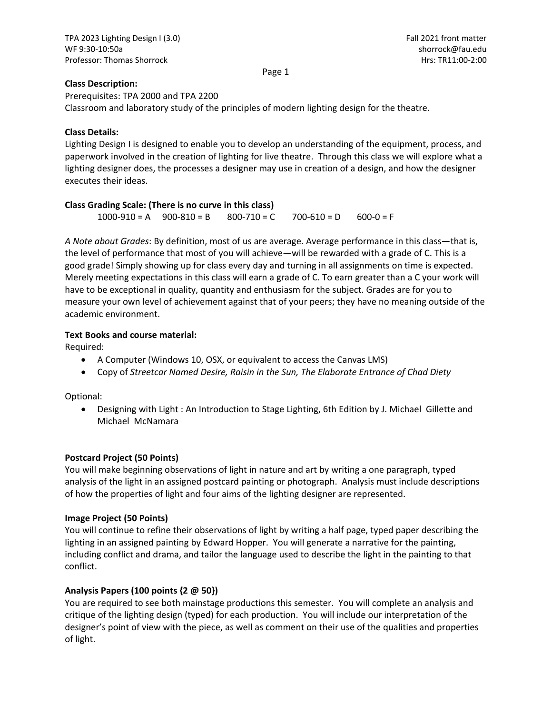## **Class Description:**

Prerequisites: TPA 2000 and TPA 2200 Classroom and laboratory study of the principles of modern lighting design for the theatre.

## **Class Details:**

Lighting Design I is designed to enable you to develop an understanding of the equipment, process, and paperwork involved in the creation of lighting for live theatre. Through this class we will explore what a lighting designer does, the processes a designer may use in creation of a design, and how the designer executes their ideas.

### **Class Grading Scale: (There is no curve in this class)**

 $1000 - 910 = A$   $900 - 810 = B$   $800 - 710 = C$   $700 - 610 = D$   $600 - 0 = F$ 

*A Note about Grades*: By definition, most of us are average. Average performance in this class—that is, the level of performance that most of you will achieve—will be rewarded with a grade of C. This is a good grade! Simply showing up for class every day and turning in all assignments on time is expected. Merely meeting expectations in this class will earn a grade of C. To earn greater than a C your work will have to be exceptional in quality, quantity and enthusiasm for the subject. Grades are for you to measure your own level of achievement against that of your peers; they have no meaning outside of the academic environment.

## **Text Books and course material:**

Required:

- A Computer (Windows 10, OSX, or equivalent to access the Canvas LMS)
- Copy of *Streetcar Named Desire, Raisin in the Sun, The Elaborate Entrance of Chad Diety*

Optional:

 Designing with Light : An Introduction to Stage Lighting, 6th Edition by J. Michael Gillette and Michael McNamara

## **Postcard Project (50 Points)**

You will make beginning observations of light in nature and art by writing a one paragraph, typed analysis of the light in an assigned postcard painting or photograph. Analysis must include descriptions of how the properties of light and four aims of the lighting designer are represented.

#### **Image Project (50 Points)**

You will continue to refine their observations of light by writing a half page, typed paper describing the lighting in an assigned painting by Edward Hopper. You will generate a narrative for the painting, including conflict and drama, and tailor the language used to describe the light in the painting to that conflict.

## **Analysis Papers (100 points {2 @ 50})**

You are required to see both mainstage productions this semester. You will complete an analysis and critique of the lighting design (typed) for each production. You will include our interpretation of the designer's point of view with the piece, as well as comment on their use of the qualities and properties of light.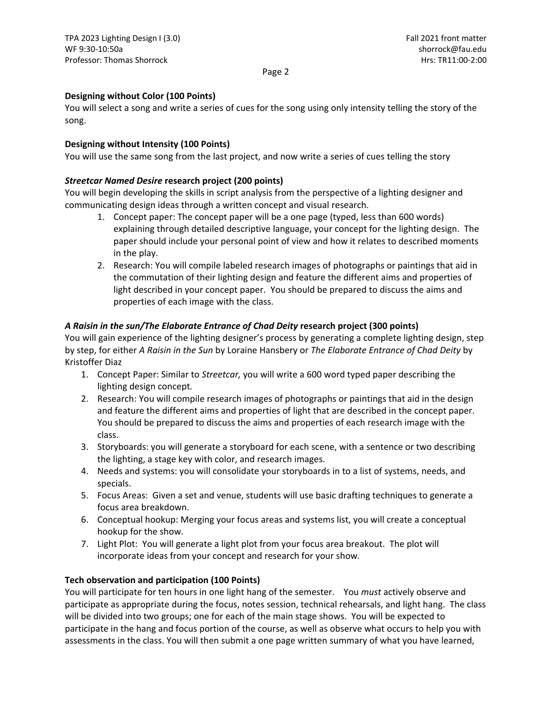# **Designing without Color (100 Points)**

You will select a song and write a series of cues for the song using only intensity telling the story of the song.

## **Designing without Intensity (100 Points)**

You will use the same song from the last project, and now write a series of cues telling the story

# *Streetcar Named Desire* **research project (200 points)**

You will begin developing the skills in script analysis from the perspective of a lighting designer and communicating design ideas through a written concept and visual research.

- 1. Concept paper: The concept paper will be a one page (typed, less than 600 words) explaining through detailed descriptive language, your concept for the lighting design. The paper should include your personal point of view and how it relates to described moments in the play.
- 2. Research: You will compile labeled research images of photographs or paintings that aid in the commutation of their lighting design and feature the different aims and properties of light described in your concept paper. You should be prepared to discuss the aims and properties of each image with the class.

# *A Raisin in the sun/The Elaborate Entrance of Chad Deity* **research project (300 points)**

You will gain experience of the lighting designer's process by generating a complete lighting design, step by step, for either *A Raisin in the Sun* by Loraine Hansbery or *The Elaborate Entrance of Chad Deity* by Kristoffer Diaz

- 1. Concept Paper: Similar to *Streetcar,* you will write a 600 word typed paper describing the lighting design concept*.*
- 2. Research: You will compile research images of photographs or paintings that aid in the design and feature the different aims and properties of light that are described in the concept paper. You should be prepared to discuss the aims and properties of each research image with the class.
- 3. Storyboards: you will generate a storyboard for each scene, with a sentence or two describing the lighting, a stage key with color, and research images.
- 4. Needs and systems: you will consolidate your storyboards in to a list of systems, needs, and specials.
- 5. Focus Areas: Given a set and venue, students will use basic drafting techniques to generate a focus area breakdown.
- 6. Conceptual hookup: Merging your focus areas and systems list, you will create a conceptual hookup for the show*.*
- 7. Light Plot: You will generate a light plot from your focus area breakout. The plot will incorporate ideas from your concept and research for your show*.*

## **Tech observation and participation (100 Points)**

You will participate for ten hours in one light hang of the semester. You *must* actively observe and participate as appropriate during the focus, notes session, technical rehearsals, and light hang. The class will be divided into two groups; one for each of the main stage shows. You will be expected to participate in the hang and focus portion of the course, as well as observe what occurs to help you with assessments in the class. You will then submit a one page written summary of what you have learned,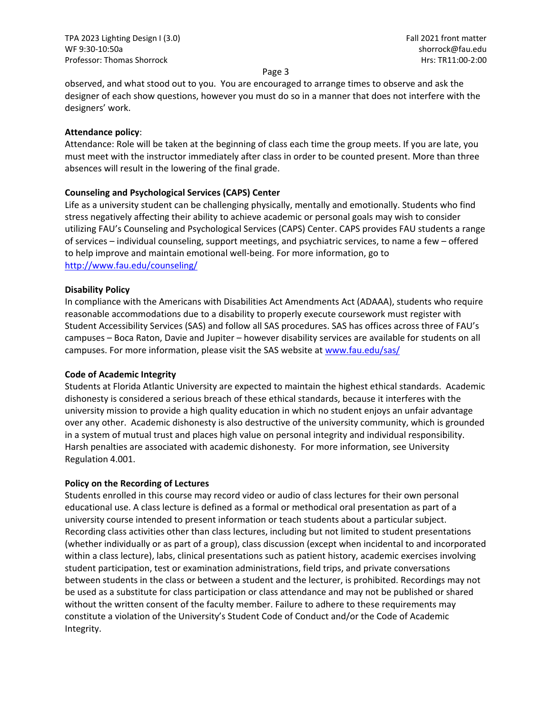observed, and what stood out to you. You are encouraged to arrange times to observe and ask the designer of each show questions, however you must do so in a manner that does not interfere with the designers' work.

#### **Attendance policy**:

Attendance: Role will be taken at the beginning of class each time the group meets. If you are late, you must meet with the instructor immediately after class in order to be counted present. More than three absences will result in the lowering of the final grade.

### **Counseling and Psychological Services (CAPS) Center**

Life as a university student can be challenging physically, mentally and emotionally. Students who find stress negatively affecting their ability to achieve academic or personal goals may wish to consider utilizing FAU's Counseling and Psychological Services (CAPS) Center. CAPS provides FAU students a range of services – individual counseling, support meetings, and psychiatric services, to name a few – offered to help improve and maintain emotional well‐being. For more information, go to http://www.fau.edu/counseling/

### **Disability Policy**

In compliance with the Americans with Disabilities Act Amendments Act (ADAAA), students who require reasonable accommodations due to a disability to properly execute coursework must register with Student Accessibility Services (SAS) and follow all SAS procedures. SAS has offices across three of FAU's campuses – Boca Raton, Davie and Jupiter – however disability services are available for students on all campuses. For more information, please visit the SAS website at www.fau.edu/sas/

#### **Code of Academic Integrity**

Students at Florida Atlantic University are expected to maintain the highest ethical standards. Academic dishonesty is considered a serious breach of these ethical standards, because it interferes with the university mission to provide a high quality education in which no student enjoys an unfair advantage over any other. Academic dishonesty is also destructive of the university community, which is grounded in a system of mutual trust and places high value on personal integrity and individual responsibility. Harsh penalties are associated with academic dishonesty. For more information, see University Regulation 4.001.

## **Policy on the Recording of Lectures**

Students enrolled in this course may record video or audio of class lectures for their own personal educational use. A class lecture is defined as a formal or methodical oral presentation as part of a university course intended to present information or teach students about a particular subject. Recording class activities other than class lectures, including but not limited to student presentations (whether individually or as part of a group), class discussion (except when incidental to and incorporated within a class lecture), labs, clinical presentations such as patient history, academic exercises involving student participation, test or examination administrations, field trips, and private conversations between students in the class or between a student and the lecturer, is prohibited. Recordings may not be used as a substitute for class participation or class attendance and may not be published or shared without the written consent of the faculty member. Failure to adhere to these requirements may constitute a violation of the University's Student Code of Conduct and/or the Code of Academic Integrity.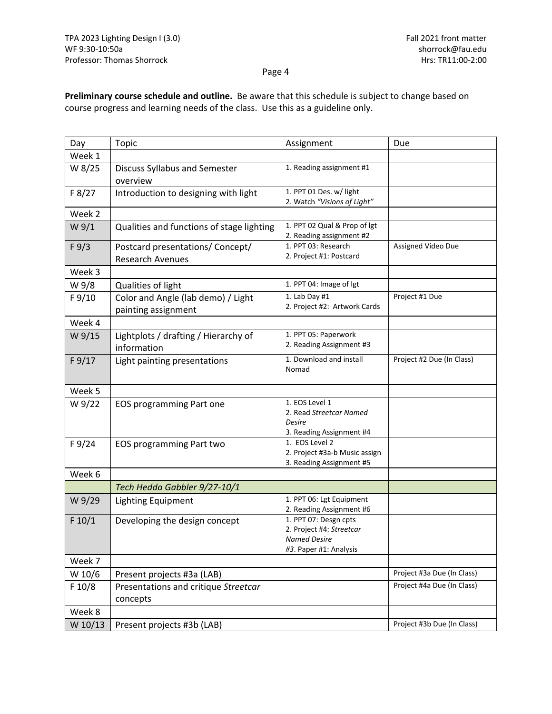**Preliminary course schedule and outline.** Be aware that this schedule is subject to change based on course progress and learning needs of the class. Use this as a guideline only.

| Day              | Topic                                                       | Assignment                                                                                         | Due                        |
|------------------|-------------------------------------------------------------|----------------------------------------------------------------------------------------------------|----------------------------|
| Week 1           |                                                             |                                                                                                    |                            |
| W 8/25           | <b>Discuss Syllabus and Semester</b><br>overview            | 1. Reading assignment #1                                                                           |                            |
| F 8/27           | Introduction to designing with light                        | 1. PPT 01 Des. w/ light<br>2. Watch "Visions of Light"                                             |                            |
| Week 2           |                                                             |                                                                                                    |                            |
| W <sub>9/1</sub> | Qualities and functions of stage lighting                   | 1. PPT 02 Qual & Prop of lgt<br>2. Reading assignment #2                                           |                            |
| F 9/3            | Postcard presentations/ Concept/<br><b>Research Avenues</b> | 1. PPT 03: Research<br>2. Project #1: Postcard                                                     | Assigned Video Due         |
| Week 3           |                                                             |                                                                                                    |                            |
| W 9/8            | Qualities of light                                          | 1. PPT 04: Image of lgt                                                                            |                            |
| F 9/10           | Color and Angle (lab demo) / Light<br>painting assignment   | 1. Lab Day #1<br>2. Project #2: Artwork Cards                                                      | Project #1 Due             |
| Week 4           |                                                             |                                                                                                    |                            |
| W 9/15           | Lightplots / drafting / Hierarchy of<br>information         | 1. PPT 05: Paperwork<br>2. Reading Assignment #3                                                   |                            |
| F 9/17           | Light painting presentations                                | 1. Download and install<br>Nomad                                                                   | Project #2 Due (In Class)  |
| Week 5           |                                                             |                                                                                                    |                            |
| W 9/22           | <b>EOS programming Part one</b>                             | 1. EOS Level 1<br>2. Read Streetcar Named<br>Desire<br>3. Reading Assignment #4                    |                            |
| F 9/24           | <b>EOS programming Part two</b>                             | 1. EOS Level 2<br>2. Project #3a-b Music assign<br>3. Reading Assignment #5                        |                            |
| Week 6           |                                                             |                                                                                                    |                            |
|                  | Tech Hedda Gabbler 9/27-10/1                                |                                                                                                    |                            |
| W 9/29           | <b>Lighting Equipment</b>                                   | 1. PPT 06: Lgt Equipment<br>2. Reading Assignment #6                                               |                            |
| F 10/1           | Developing the design concept                               | 1. PPT 07: Desgn cpts<br>2. Project #4: Streetcar<br><b>Named Desire</b><br>#3. Paper #1: Analysis |                            |
| Week 7           |                                                             |                                                                                                    |                            |
| W 10/6           | Present projects #3a (LAB)                                  |                                                                                                    | Project #3a Due (In Class) |
| F 10/8           | Presentations and critique Streetcar<br>concepts            |                                                                                                    | Project #4a Due (In Class) |
| Week 8           |                                                             |                                                                                                    |                            |
| W 10/13          | Present projects #3b (LAB)                                  |                                                                                                    | Project #3b Due (In Class) |